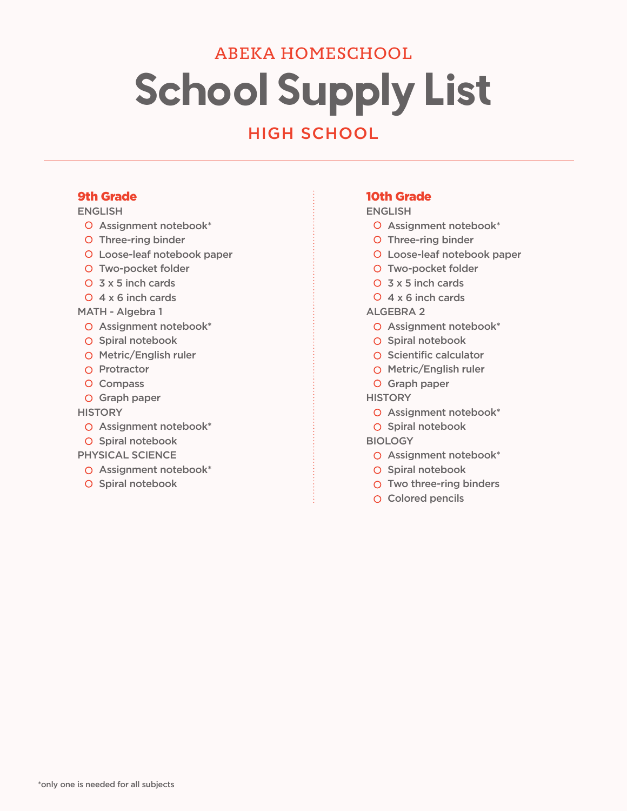# School Supply List ABEKA HOMESCHOOL

# HIGH SCHOOL

### 9th Grade

#### ENGLISH

- O Assignment notebook\*
- O Three-ring binder
- Loose-leaf notebook paper
- O Two-pocket folder
- O 3 x 5 inch cards
- $Q$  4 x 6 inch cards
- MATH Algebra 1
	- O Assignment notebook\*
	- O Spiral notebook
	- O Metric/English ruler
	- $\Omega$  Protractor
	- O Compass
	- O Graph paper

**HISTORY** 

- O Assignment notebook\*
- O Spiral notebook
- PHYSICAL SCIENCE
	- O Assignment notebook\*
	- O Spiral notebook

#### 10th Grade

#### ENGLISH

- O Assignment notebook\*
- O Three-ring binder
- Loose-leaf notebook paper
- O Two-pocket folder
- $O$  3 x 5 inch cards
- $Q$  4 x 6 inch cards

#### ALGEBRA 2

- O Assignment notebook\*
- O Spiral notebook
- O Scientific calculator
- O Metric/English ruler
- O Graph paper

#### **HISTORY**

- O Assignment notebook\*
- O Spiral notebook

#### **BIOLOGY**

- O Assignment notebook\*
- O Spiral notebook
- O Two three-ring binders
- O Colored pencils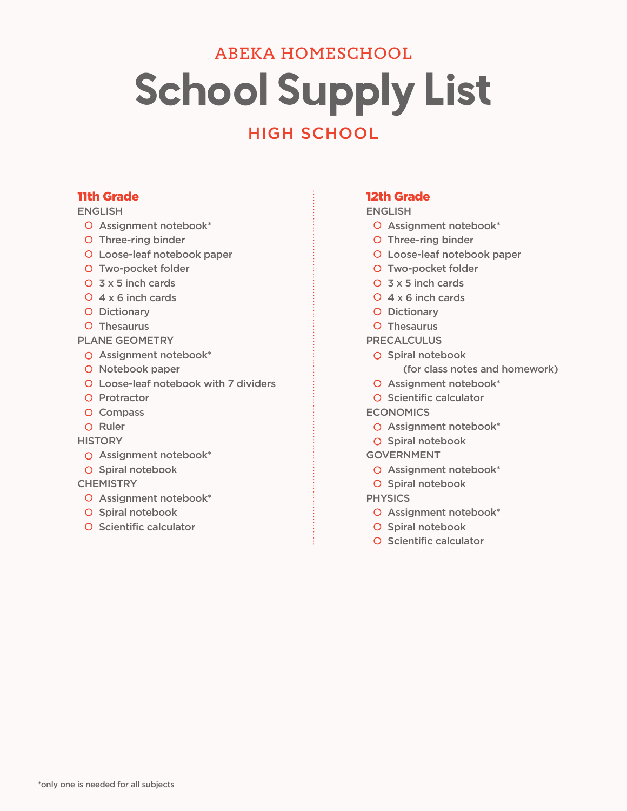# School Supply List ABEKA HOMESCHOOL

# HIGH SCHOOL

### 11th Grade

#### ENGLISH

- O Assignment notebook\*
- O Three-ring binder
- Loose-leaf notebook paper
- O Two-pocket folder
- O 3 x 5 inch cards
- $Q$  4 x 6 inch cards
- O Dictionary
- O Thesaurus

#### PLANE GEOMETRY

- O Assignment notebook\*
- O Notebook paper
- Loose-leaf notebook with 7 dividers
- O Protractor
- O Compass
- O Ruler

#### **HISTORY**

- O Assignment notebook\*
- O Spiral notebook

#### **CHEMISTRY**

- O Assignment notebook\*
- O Spiral notebook
- O Scientific calculator

## 12th Grade

#### ENGLISH

- O Assignment notebook\*
- O Three-ring binder
- Loose-leaf notebook paper
- O Two-pocket folder
- 3 x 5 inch cards
- $Q$  4 x 6 inch cards
- O Dictionary
- O Thesaurus

#### PRECALCULUS

- O Spiral notebook
	- (for class notes and homework)
- O Assignment notebook\*
- O Scientific calculator

## **ECONOMICS**

- O Assignment notebook\*
- O Spiral notebook
- GOVERNMENT
- O Assignment notebook\*
- O Spiral notebook

#### **PHYSICS**

- O Assignment notebook\*
- O Spiral notebook
- O Scientific calculator